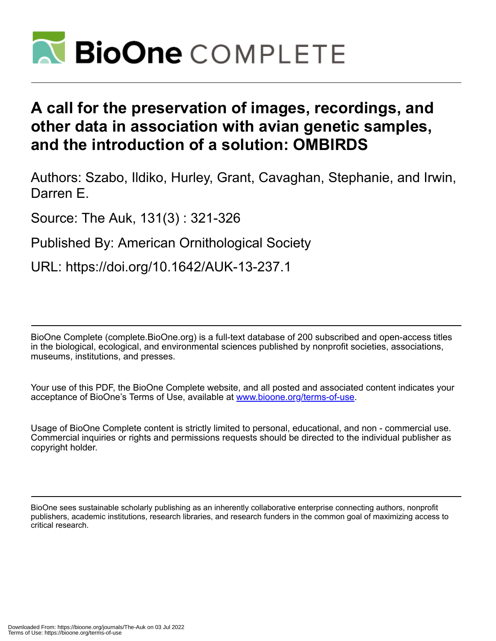

# **A call for the preservation of images, recordings, and other data in association with avian genetic samples, and the introduction of a solution: OMBIRDS**

Authors: Szabo, Ildiko, Hurley, Grant, Cavaghan, Stephanie, and Irwin, Darren E.

Source: The Auk, 131(3) : 321-326

Published By: American Ornithological Society

URL: https://doi.org/10.1642/AUK-13-237.1

BioOne Complete (complete.BioOne.org) is a full-text database of 200 subscribed and open-access titles in the biological, ecological, and environmental sciences published by nonprofit societies, associations, museums, institutions, and presses.

Your use of this PDF, the BioOne Complete website, and all posted and associated content indicates your acceptance of BioOne's Terms of Use, available at www.bioone.org/terms-of-use.

Usage of BioOne Complete content is strictly limited to personal, educational, and non - commercial use. Commercial inquiries or rights and permissions requests should be directed to the individual publisher as copyright holder.

BioOne sees sustainable scholarly publishing as an inherently collaborative enterprise connecting authors, nonprofit publishers, academic institutions, research libraries, and research funders in the common goal of maximizing access to critical research.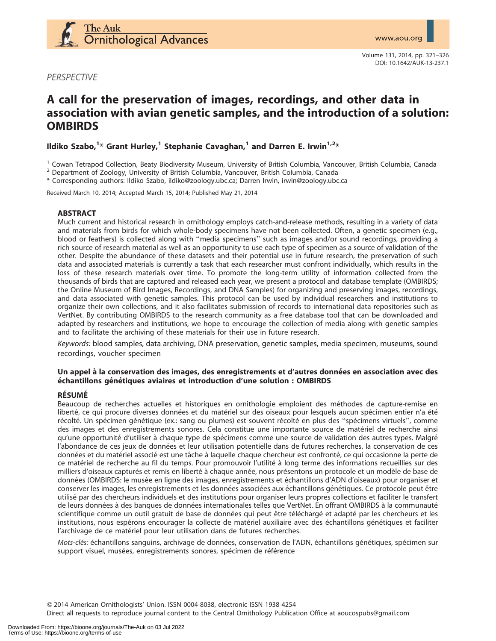

# **PERSPECTIVE**

# A call for the preservation of images, recordings, and other data in association with avian genetic samples, and the introduction of a solution: OMBIRDS

# Ildiko Szabo,<sup>1</sup>\* Grant Hurley,<sup>1</sup> Stephanie Cavaghan,<sup>1</sup> and Darren E. Irwin<sup>1,2</sup>\*

<sup>1</sup> Cowan Tetrapod Collection, Beaty Biodiversity Museum, University of British Columbia, Vancouver, British Columbia, Canada  $^2$  Department of Zoology, University of British Columbia, Vancouver, British Columbia, Canada

\* Corresponding authors: Ildiko Szabo, ildiko@zoology.ubc.ca; Darren Irwin, irwin@zoology.ubc.ca

Received March 10, 2014; Accepted March 15, 2014; Published May 21, 2014

#### ABSTRACT

Much current and historical research in ornithology employs catch-and-release methods, resulting in a variety of data and materials from birds for which whole-body specimens have not been collected. Often, a genetic specimen (e.g., blood or feathers) is collected along with ''media specimens'' such as images and/or sound recordings, providing a rich source of research material as well as an opportunity to use each type of specimen as a source of validation of the other. Despite the abundance of these datasets and their potential use in future research, the preservation of such data and associated materials is currently a task that each researcher must confront individually, which results in the loss of these research materials over time. To promote the long-term utility of information collected from the thousands of birds that are captured and released each year, we present a protocol and database template (OMBIRDS; the Online Museum of Bird Images, Recordings, and DNA Samples) for organizing and preserving images, recordings, and data associated with genetic samples. This protocol can be used by individual researchers and institutions to organize their own collections, and it also facilitates submission of records to international data repositories such as VertNet. By contributing OMBIRDS to the research community as a free database tool that can be downloaded and adapted by researchers and institutions, we hope to encourage the collection of media along with genetic samples and to facilitate the archiving of these materials for their use in future research.

Keywords: blood samples, data archiving, DNA preservation, genetic samples, media specimen, museums, sound recordings, voucher specimen

# Un appel à la conservation des images, des enregistrements et d'autres données en association avec des échantillons génétiques aviaires et introduction d'une solution : OMBIRDS

# **RÉSUMÉ**

Beaucoup de recherches actuelles et historiques en ornithologie emploient des méthodes de capture-remise en liberté, ce qui procure diverses données et du matériel sur des oiseaux pour lesquels aucun spécimen entier n'a été récolté. Un spécimen génétique (ex.: sang ou plumes) est souvent récolté en plus des "spécimens virtuels", comme des images et des enregistrements sonores. Cela constitue une importante source de materiel de recherche ainsi ´ qu'une opportunité d'utiliser à chaque type de spécimens comme une source de validation des autres types. Malgré l'abondance de ces jeux de données et leur utilisation potentielle dans de futures recherches, la conservation de ces données et du matériel associé est une tâche à laquelle chaque chercheur est confronté, ce qui occasionne la perte de ce matériel de recherche au fil du temps. Pour promouvoir l'utilité à long terme des informations recueillies sur des milliers d'oiseaux capturés et remis en liberté à chaque année, nous présentons un protocole et un modèle de base de données (OMBIRDS: le musée en ligne des images, enregistrements et échantillons d'ADN d'oiseaux) pour organiser et conserver les images, les enregistrements et les données associées aux échantillons génétiques. Ce protocole peut être utilise par des chercheurs individuels et des institutions pour organiser leurs propres collections et faciliter le transfert ´ de leurs données à des banques de données internationales telles que VertNet. En offrant OMBIRDS à la communauté scientifique comme un outil gratuit de base de données qui peut être téléchargé et adapté par les chercheurs et les institutions, nous espérons encourager la collecte de matériel auxiliaire avec des échantillons génétiques et faciliter l'archivage de ce matériel pour leur utilisation dans de futures recherches.

Mots-clés: échantillons sanguins, archivage de données, conservation de l'ADN, échantillons génétiques, spécimen sur support visuel, musées, enregistrements sonores, spécimen de référence

Q 2014 American Ornithologists' Union. ISSN 0004-8038, electronic ISSN 1938-4254

Direct all requests to reproduce journal content to the Central Ornithology Publication Office at aoucospubs@gmail.com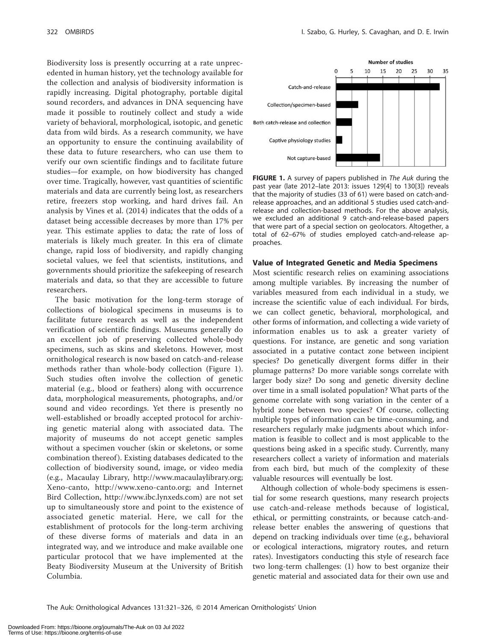Biodiversity loss is presently occurring at a rate unprecedented in human history, yet the technology available for the collection and analysis of biodiversity information is rapidly increasing. Digital photography, portable digital sound recorders, and advances in DNA sequencing have made it possible to routinely collect and study a wide variety of behavioral, morphological, isotopic, and genetic data from wild birds. As a research community, we have an opportunity to ensure the continuing availability of these data to future researchers, who can use them to verify our own scientific findings and to facilitate future studies—for example, on how biodiversity has changed over time. Tragically, however, vast quantities of scientific materials and data are currently being lost, as researchers retire, freezers stop working, and hard drives fail. An analysis by Vines et al. (2014) indicates that the odds of a dataset being accessible decreases by more than 17% per year. This estimate applies to data; the rate of loss of materials is likely much greater. In this era of climate change, rapid loss of biodiversity, and rapidly changing societal values, we feel that scientists, institutions, and governments should prioritize the safekeeping of research materials and data, so that they are accessible to future researchers.

The basic motivation for the long-term storage of collections of biological specimens in museums is to facilitate future research as well as the independent verification of scientific findings. Museums generally do an excellent job of preserving collected whole-body specimens, such as skins and skeletons. However, most ornithological research is now based on catch-and-release methods rather than whole-body collection (Figure 1). Such studies often involve the collection of genetic material (e.g., blood or feathers) along with occurrence data, morphological measurements, photographs, and/or sound and video recordings. Yet there is presently no well-established or broadly accepted protocol for archiving genetic material along with associated data. The majority of museums do not accept genetic samples without a specimen voucher (skin or skeletons, or some combination thereof ). Existing databases dedicated to the collection of biodiversity sound, image, or video media (e.g., Macaulay Library, http://www.macaulaylibrary.org; Xeno-canto, http://www.xeno-canto.org; and Internet Bird Collection, http://www.ibc.lynxeds.com) are not set up to simultaneously store and point to the existence of associated genetic material. Here, we call for the establishment of protocols for the long-term archiving of these diverse forms of materials and data in an integrated way, and we introduce and make available one particular protocol that we have implemented at the Beaty Biodiversity Museum at the University of British Columbia.



FIGURE 1. A survey of papers published in The Auk during the past year (late 2012–late 2013: issues 129[4] to 130[3]) reveals that the majority of studies (33 of 61) were based on catch-andrelease approaches, and an additional 5 studies used catch-andrelease and collection-based methods. For the above analysis, we excluded an additional 9 catch-and-release-based papers that were part of a special section on geolocators. Altogether, a total of 62–67% of studies employed catch-and-release approaches.

#### Value of Integrated Genetic and Media Specimens

Most scientific research relies on examining associations among multiple variables. By increasing the number of variables measured from each individual in a study, we increase the scientific value of each individual. For birds, we can collect genetic, behavioral, morphological, and other forms of information, and collecting a wide variety of information enables us to ask a greater variety of questions. For instance, are genetic and song variation associated in a putative contact zone between incipient species? Do genetically divergent forms differ in their plumage patterns? Do more variable songs correlate with larger body size? Do song and genetic diversity decline over time in a small isolated population? What parts of the genome correlate with song variation in the center of a hybrid zone between two species? Of course, collecting multiple types of information can be time-consuming, and researchers regularly make judgments about which information is feasible to collect and is most applicable to the questions being asked in a specific study. Currently, many researchers collect a variety of information and materials from each bird, but much of the complexity of these valuable resources will eventually be lost.

Although collection of whole-body specimens is essential for some research questions, many research projects use catch-and-release methods because of logistical, ethical, or permitting constraints, or because catch-andrelease better enables the answering of questions that depend on tracking individuals over time (e.g., behavioral or ecological interactions, migratory routes, and return rates). Investigators conducting this style of research face two long-term challenges: (1) how to best organize their genetic material and associated data for their own use and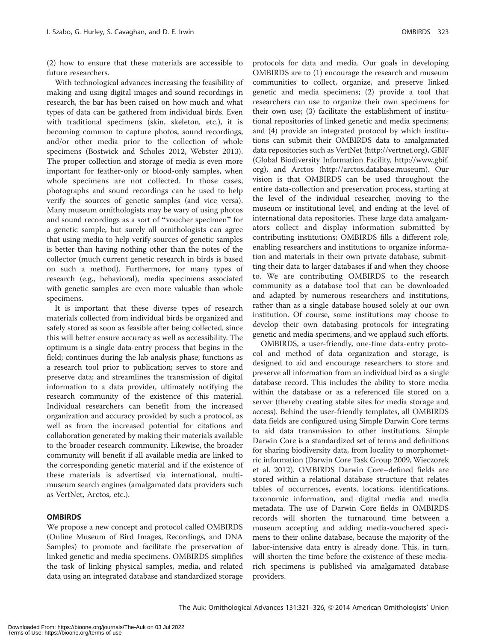(2) how to ensure that these materials are accessible to future researchers.

With technological advances increasing the feasibility of making and using digital images and sound recordings in research, the bar has been raised on how much and what types of data can be gathered from individual birds. Even with traditional specimens (skin, skeleton, etc.), it is becoming common to capture photos, sound recordings, and/or other media prior to the collection of whole specimens (Bostwick and Scholes 2012, Webster 2013). The proper collection and storage of media is even more important for feather-only or blood-only samples, when whole specimens are not collected. In those cases, photographs and sound recordings can be used to help verify the sources of genetic samples (and vice versa). Many museum ornithologists may be wary of using photos and sound recordings as a sort of ''voucher specimen'' for a genetic sample, but surely all ornithologists can agree that using media to help verify sources of genetic samples is better than having nothing other than the notes of the collector (much current genetic research in birds is based on such a method). Furthermore, for many types of research (e.g., behavioral), media specimens associated with genetic samples are even more valuable than whole specimens.

It is important that these diverse types of research materials collected from individual birds be organized and safely stored as soon as feasible after being collected, since this will better ensure accuracy as well as accessibility. The optimum is a single data-entry process that begins in the field; continues during the lab analysis phase; functions as a research tool prior to publication; serves to store and preserve data; and streamlines the transmission of digital information to a data provider, ultimately notifying the research community of the existence of this material. Individual researchers can benefit from the increased organization and accuracy provided by such a protocol, as well as from the increased potential for citations and collaboration generated by making their materials available to the broader research community. Likewise, the broader community will benefit if all available media are linked to the corresponding genetic material and if the existence of these materials is advertised via international, multimuseum search engines (amalgamated data providers such as VertNet, Arctos, etc.).

#### **OMBIRDS**

We propose a new concept and protocol called OMBIRDS (Online Museum of Bird Images, Recordings, and DNA Samples) to promote and facilitate the preservation of linked genetic and media specimens. OMBIRDS simplifies the task of linking physical samples, media, and related data using an integrated database and standardized storage

protocols for data and media. Our goals in developing OMBIRDS are to (1) encourage the research and museum communities to collect, organize, and preserve linked genetic and media specimens; (2) provide a tool that researchers can use to organize their own specimens for their own use; (3) facilitate the establishment of institutional repositories of linked genetic and media specimens; and (4) provide an integrated protocol by which institutions can submit their OMBIRDS data to amalgamated data repositories such as VertNet (http://vertnet.org), GBIF (Global Biodiversity Information Facility, http://www.gbif. org), and Arctos (http://arctos.database.museum). Our vision is that OMBIRDS can be used throughout the entire data-collection and preservation process, starting at the level of the individual researcher, moving to the museum or institutional level, and ending at the level of international data repositories. These large data amalgamators collect and display information submitted by contributing institutions; OMBIRDS fills a different role, enabling researchers and institutions to organize information and materials in their own private database, submitting their data to larger databases if and when they choose to. We are contributing OMBIRDS to the research community as a database tool that can be downloaded and adapted by numerous researchers and institutions, rather than as a single database housed solely at our own institution. Of course, some institutions may choose to develop their own databasing protocols for integrating genetic and media specimens, and we applaud such efforts.

OMBIRDS, a user-friendly, one-time data-entry protocol and method of data organization and storage, is designed to aid and encourage researchers to store and preserve all information from an individual bird as a single database record. This includes the ability to store media within the database or as a referenced file stored on a server (thereby creating stable sites for media storage and access). Behind the user-friendly templates, all OMBIRDS data fields are configured using Simple Darwin Core terms to aid data transmission to other institutions. Simple Darwin Core is a standardized set of terms and definitions for sharing biodiversity data, from locality to morphometric information (Darwin Core Task Group 2009, Wieczorek et al. 2012). OMBIRDS Darwin Core–defined fields are stored within a relational database structure that relates tables of occurrences, events, locations, identifications, taxonomic information, and digital media and media metadata. The use of Darwin Core fields in OMBIRDS records will shorten the turnaround time between a museum accepting and adding media-vouchered specimens to their online database, because the majority of the labor-intensive data entry is already done. This, in turn, will shorten the time before the existence of these mediarich specimens is published via amalgamated database providers.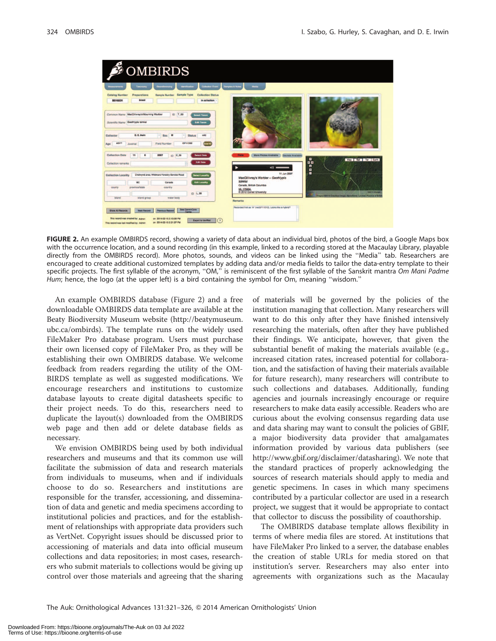

FIGURE 2. An example OMBIRDS record, showing a variety of data about an individual bird, photos of the bird, a Google Maps box with the occurrence location, and a sound recording (in this example, linked to a recording stored at the Macaulay Library, playable directly from the OMBIRDS record). More photos, sounds, and videos can be linked using the ''Media'' tab. Researchers are encouraged to create additional customized templates by adding data and/or media fields to tailor the data-entry template to their specific projects. The first syllable of the acronym, "OM," is reminiscent of the first syllable of the Sanskrit mantra Om Mani Padme Hum; hence, the logo (at the upper left) is a bird containing the symbol for Om, meaning ''wisdom.''

An example OMBIRDS database (Figure 2) and a free downloadable OMBIRDS data template are available at the Beaty Biodiversity Museum website (http://beatymuseum. ubc.ca/ombirds). The template runs on the widely used FileMaker Pro database program. Users must purchase their own licensed copy of FileMaker Pro, as they will be establishing their own OMBIRDS database. We welcome feedback from readers regarding the utility of the OM-BIRDS template as well as suggested modifications. We encourage researchers and institutions to customize database layouts to create digital datasheets specific to their project needs. To do this, researchers need to duplicate the layout(s) downloaded from the OMBIRDS web page and then add or delete database fields as necessary.

We envision OMBIRDS being used by both individual researchers and museums and that its common use will facilitate the submission of data and research materials from individuals to museums, when and if individuals choose to do so. Researchers and institutions are responsible for the transfer, accessioning, and dissemination of data and genetic and media specimens according to institutional policies and practices, and for the establishment of relationships with appropriate data providers such as VertNet. Copyright issues should be discussed prior to accessioning of materials and data into official museum collections and data repositories; in most cases, researchers who submit materials to collections would be giving up control over those materials and agreeing that the sharing

of materials will be governed by the policies of the institution managing that collection. Many researchers will want to do this only after they have finished intensively researching the materials, often after they have published their findings. We anticipate, however, that given the substantial benefit of making the materials available (e.g., increased citation rates, increased potential for collaboration, and the satisfaction of having their materials available for future research), many researchers will contribute to such collections and databases. Additionally, funding agencies and journals increasingly encourage or require researchers to make data easily accessible. Readers who are curious about the evolving consensus regarding data use and data sharing may want to consult the policies of GBIF, a major biodiversity data provider that amalgamates information provided by various data publishers (see http://www.gbif.org/disclaimer/datasharing). We note that the standard practices of properly acknowledging the sources of research materials should apply to media and genetic specimens. In cases in which many specimens contributed by a particular collector are used in a research project, we suggest that it would be appropriate to contact that collector to discuss the possibility of coauthorship.

The OMBIRDS database template allows flexibility in terms of where media files are stored. At institutions that have FileMaker Pro linked to a server, the database enables the creation of stable URLs for media stored on that institution's server. Researchers may also enter into agreements with organizations such as the Macaulay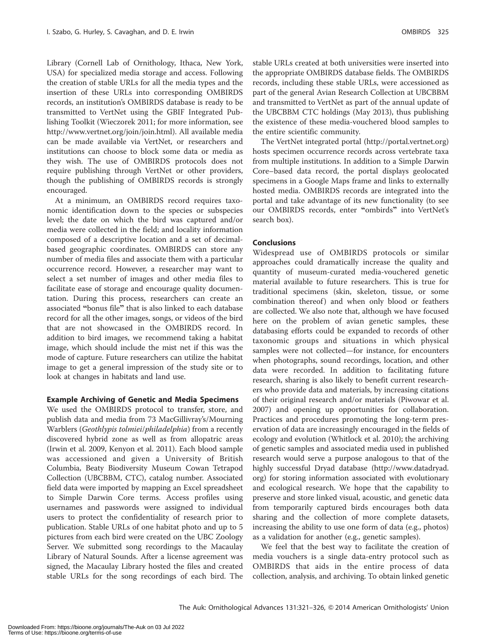Library (Cornell Lab of Ornithology, Ithaca, New York, USA) for specialized media storage and access. Following the creation of stable URLs for all the media types and the insertion of these URLs into corresponding OMBIRDS records, an institution's OMBIRDS database is ready to be transmitted to VertNet using the GBIF Integrated Publishing Toolkit (Wieczorek 2011; for more information, see http://www.vertnet.org/join/join.html). All available media can be made available via VertNet, or researchers and institutions can choose to block some data or media as they wish. The use of OMBIRDS protocols does not require publishing through VertNet or other providers, though the publishing of OMBIRDS records is strongly encouraged.

At a minimum, an OMBIRDS record requires taxonomic identification down to the species or subspecies level; the date on which the bird was captured and/or media were collected in the field; and locality information composed of a descriptive location and a set of decimalbased geographic coordinates. OMBIRDS can store any number of media files and associate them with a particular occurrence record. However, a researcher may want to select a set number of images and other media files to facilitate ease of storage and encourage quality documentation. During this process, researchers can create an associated ''bonus file'' that is also linked to each database record for all the other images, songs, or videos of the bird that are not showcased in the OMBIRDS record. In addition to bird images, we recommend taking a habitat image, which should include the mist net if this was the mode of capture. Future researchers can utilize the habitat image to get a general impression of the study site or to look at changes in habitats and land use.

# Example Archiving of Genetic and Media Specimens

We used the OMBIRDS protocol to transfer, store, and publish data and media from 73 MacGillivray's/Mourning Warblers (Geothlypis tolmiei/philadelphia) from a recently discovered hybrid zone as well as from allopatric areas (Irwin et al. 2009, Kenyon et al. 2011). Each blood sample was accessioned and given a University of British Columbia, Beaty Biodiversity Museum Cowan Tetrapod Collection (UBCBBM, CTC), catalog number. Associated field data were imported by mapping an Excel spreadsheet to Simple Darwin Core terms. Access profiles using usernames and passwords were assigned to individual users to protect the confidentiality of research prior to publication. Stable URLs of one habitat photo and up to 5 pictures from each bird were created on the UBC Zoology Server. We submitted song recordings to the Macaulay Library of Natural Sounds. After a license agreement was signed, the Macaulay Library hosted the files and created stable URLs for the song recordings of each bird. The

stable URLs created at both universities were inserted into the appropriate OMBIRDS database fields. The OMBIRDS records, including these stable URLs, were accessioned as part of the general Avian Research Collection at UBCBBM and transmitted to VertNet as part of the annual update of the UBCBBM CTC holdings (May 2013), thus publishing the existence of these media-vouchered blood samples to the entire scientific community.

The VertNet integrated portal (http://portal.vertnet.org) hosts specimen occurrence records across vertebrate taxa from multiple institutions. In addition to a Simple Darwin Core–based data record, the portal displays geolocated specimens in a Google Maps frame and links to externally hosted media. OMBIRDS records are integrated into the portal and take advantage of its new functionality (to see our OMBIRDS records, enter ''ombirds'' into VertNet's search box).

# Conclusions

Widespread use of OMBIRDS protocols or similar approaches could dramatically increase the quality and quantity of museum-curated media-vouchered genetic material available to future researchers. This is true for traditional specimens (skin, skeleton, tissue, or some combination thereof) and when only blood or feathers are collected. We also note that, although we have focused here on the problem of avian genetic samples, these databasing efforts could be expanded to records of other taxonomic groups and situations in which physical samples were not collected—for instance, for encounters when photographs, sound recordings, location, and other data were recorded. In addition to facilitating future research, sharing is also likely to benefit current researchers who provide data and materials, by increasing citations of their original research and/or materials (Piwowar et al. 2007) and opening up opportunities for collaboration. Practices and procedures promoting the long-term preservation of data are increasingly encouraged in the fields of ecology and evolution (Whitlock et al. 2010); the archiving of genetic samples and associated media used in published research would serve a purpose analogous to that of the highly successful Dryad database (http://www.datadryad. org) for storing information associated with evolutionary and ecological research. We hope that the capability to preserve and store linked visual, acoustic, and genetic data from temporarily captured birds encourages both data sharing and the collection of more complete datasets, increasing the ability to use one form of data (e.g., photos) as a validation for another (e.g., genetic samples).

We feel that the best way to facilitate the creation of media vouchers is a single data-entry protocol such as OMBIRDS that aids in the entire process of data collection, analysis, and archiving. To obtain linked genetic